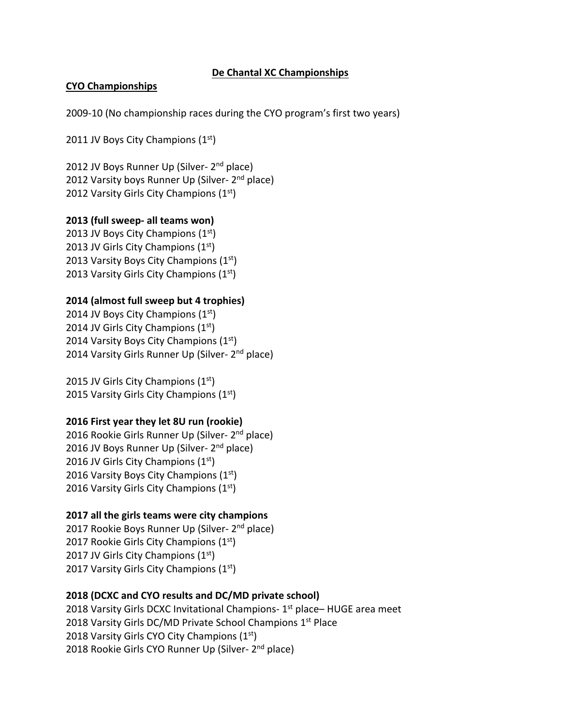## **De Chantal XC Championships**

#### **CYO Championships**

2009‐10 (No championship races during the CYO program's first two years)

2011 JV Boys City Champions  $(1<sup>st</sup>)$ 

2012 JV Boys Runner Up (Silver- 2<sup>nd</sup> place) 2012 Varsity boys Runner Up (Silver- 2<sup>nd</sup> place) 2012 Varsity Girls City Champions  $(1<sup>st</sup>)$ 

#### **2013 (full sweep‐ all teams won)**

2013 JV Boys City Champions  $(1<sup>st</sup>)$ 2013 JV Girls City Champions  $(1<sup>st</sup>)$ 2013 Varsity Boys City Champions  $(1<sup>st</sup>)$ 2013 Varsity Girls City Champions  $(1<sup>st</sup>)$ 

## **2014 (almost full sweep but 4 trophies)**

2014 JV Boys City Champions  $(1<sup>st</sup>)$ 2014 JV Girls City Champions  $(1<sup>st</sup>)$ 2014 Varsity Boys City Champions  $(1<sup>st</sup>)$ 2014 Varsity Girls Runner Up (Silver- 2<sup>nd</sup> place)

2015 JV Girls City Champions  $(1<sup>st</sup>)$ 2015 Varsity Girls City Champions  $(1<sup>st</sup>)$ 

## **2016 First year they let 8U run (rookie)**

2016 Rookie Girls Runner Up (Silver‐ 2nd place) 2016 JV Boys Runner Up (Silver- 2<sup>nd</sup> place) 2016 JV Girls City Champions  $(1<sup>st</sup>)$ 2016 Varsity Boys City Champions (1st) 2016 Varsity Girls City Champions (1st)

## **2017 all the girls teams were city champions**

2017 Rookie Boys Runner Up (Silver- 2<sup>nd</sup> place) 2017 Rookie Girls City Champions  $(1<sup>st</sup>)$ 2017 JV Girls City Champions  $(1<sup>st</sup>)$ 2017 Varsity Girls City Champions  $(1<sup>st</sup>)$ 

## **2018 (DCXC and CYO results and DC/MD private school)**

2018 Varsity Girls DCXC Invitational Champions- 1<sup>st</sup> place– HUGE area meet 2018 Varsity Girls DC/MD Private School Champions 1<sup>st</sup> Place 2018 Varsity Girls CYO City Champions (1<sup>st</sup>) 2018 Rookie Girls CYO Runner Up (Silver- 2<sup>nd</sup> place)